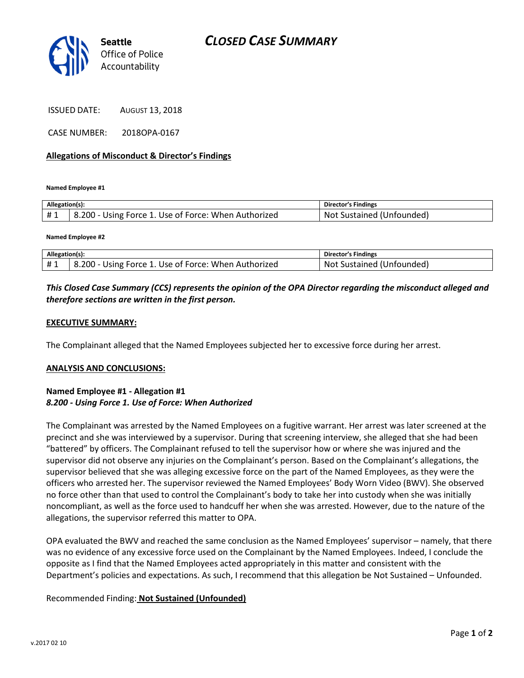

ISSUED DATE: AUGUST 13, 2018

CASE NUMBER: 2018OPA-0167

#### Allegations of Misconduct & Director's Findings

Named Employee #1

| Allegation(s): |                                                      | <b>Director's Findings</b>      |
|----------------|------------------------------------------------------|---------------------------------|
| #1             | 8.200 - Using Force 1. Use of Force: When Authorized | t Sustained (Unfounded)<br>.Not |

Named Employee #2

| Allegation(s): |                                                      | <b>Director's Findings</b> |
|----------------|------------------------------------------------------|----------------------------|
|                | B.200 - Using Force 1. Use of Force: When Authorized | Not Sustained (Unfounded)  |

## This Closed Case Summary (CCS) represents the opinion of the OPA Director regarding the misconduct alleged and therefore sections are written in the first person.

#### EXECUTIVE SUMMARY:

The Complainant alleged that the Named Employees subjected her to excessive force during her arrest.

#### ANALYSIS AND CONCLUSIONS:

## Named Employee #1 - Allegation #1 8.200 - Using Force 1. Use of Force: When Authorized

The Complainant was arrested by the Named Employees on a fugitive warrant. Her arrest was later screened at the precinct and she was interviewed by a supervisor. During that screening interview, she alleged that she had been "battered" by officers. The Complainant refused to tell the supervisor how or where she was injured and the supervisor did not observe any injuries on the Complainant's person. Based on the Complainant's allegations, the supervisor believed that she was alleging excessive force on the part of the Named Employees, as they were the officers who arrested her. The supervisor reviewed the Named Employees' Body Worn Video (BWV). She observed no force other than that used to control the Complainant's body to take her into custody when she was initially noncompliant, as well as the force used to handcuff her when she was arrested. However, due to the nature of the allegations, the supervisor referred this matter to OPA.

OPA evaluated the BWV and reached the same conclusion as the Named Employees' supervisor – namely, that there was no evidence of any excessive force used on the Complainant by the Named Employees. Indeed, I conclude the opposite as I find that the Named Employees acted appropriately in this matter and consistent with the Department's policies and expectations. As such, I recommend that this allegation be Not Sustained – Unfounded.

## Recommended Finding: Not Sustained (Unfounded)